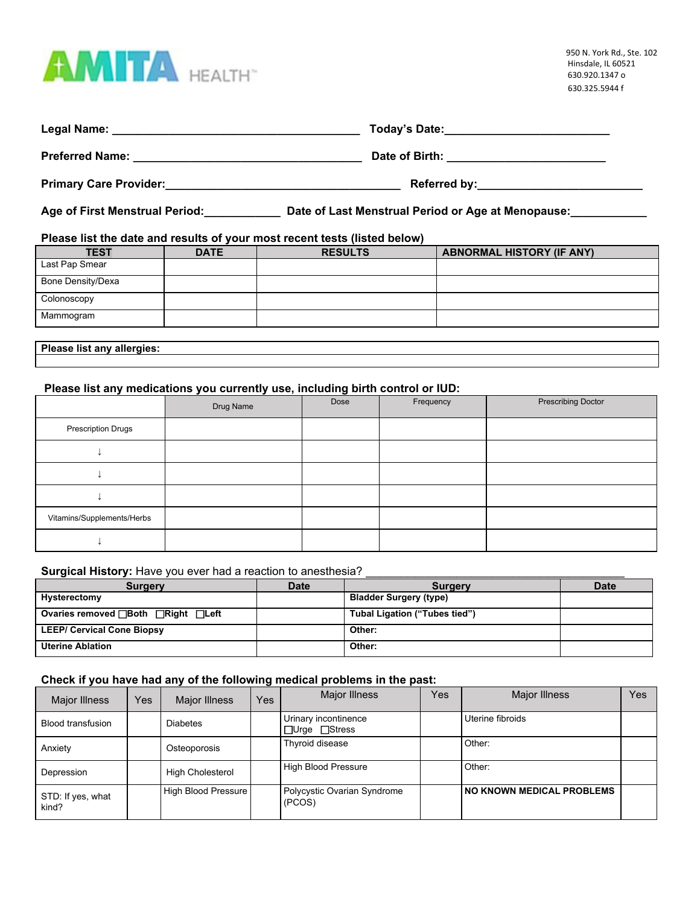

|                               | Today's Date:________________________________ |
|-------------------------------|-----------------------------------------------|
|                               |                                               |
| <b>Primary Care Provider:</b> | Referred by: _____________________________    |

**Age of First Menstrual Period:\_\_\_\_\_\_\_\_\_\_\_\_ Date of Last Menstrual Period or Age at Menopause:\_\_\_\_\_\_\_\_\_\_\_\_**

# **Please list the date and results of your most recent tests (listed below)**

| <b>TEST</b>       | <b>DATE</b> | <b>RESULTS</b> | <b>ABNORMAL HISTORY (IF ANY)</b> |
|-------------------|-------------|----------------|----------------------------------|
| Last Pap Smear    |             |                |                                  |
| Bone Density/Dexa |             |                |                                  |
| Colonoscopy       |             |                |                                  |
| Mammogram         |             |                |                                  |
|                   |             |                |                                  |

### **Please list any allergies:**

# **Please list any medications you currently use, including birth control or IUD:**

|                            | Drug Name | Dose | Frequency | <b>Prescribing Doctor</b> |
|----------------------------|-----------|------|-----------|---------------------------|
| Prescription Drugs         |           |      |           |                           |
|                            |           |      |           |                           |
|                            |           |      |           |                           |
|                            |           |      |           |                           |
| Vitamins/Supplements/Herbs |           |      |           |                           |
|                            |           |      |           |                           |

# **Surgical History:** Have you ever had a reaction to anesthesia? \_\_\_\_\_\_\_\_\_\_\_\_\_\_\_\_\_\_\_\_\_\_\_\_\_\_\_\_\_\_\_\_\_\_\_\_\_

| <b>Surgery</b>                         | <b>Date</b> | <b>Surgery</b>                | <b>Date</b> |
|----------------------------------------|-------------|-------------------------------|-------------|
| Hysterectomy                           |             | <b>Bladder Surgery (type)</b> |             |
| Ovaries removed <b>Both</b> Right Left |             | Tubal Ligation ("Tubes tied") |             |
| <b>LEEP/ Cervical Cone Biopsy</b>      |             | Other:                        |             |
| <b>Uterine Ablation</b>                |             | Other:                        |             |

### **Check if you have had any of the following medical problems in the past:**

| <b>Major Illness</b>       | Yes | Major Illness           | Yes. | Major Illness                                     | Yes | <b>Major Illness</b>             | Yes |
|----------------------------|-----|-------------------------|------|---------------------------------------------------|-----|----------------------------------|-----|
| Blood transfusion          |     | <b>Diabetes</b>         |      | Urinary incontinence<br>$\Box$ Urge $\Box$ Stress |     | Uterine fibroids                 |     |
| Anxiety                    |     | Osteoporosis            |      | Thyroid disease                                   |     | Other:                           |     |
| Depression                 |     | <b>High Cholesterol</b> |      | High Blood Pressure                               |     | Other:                           |     |
| STD: If yes, what<br>kind? |     | High Blood Pressure     |      | Polycystic Ovarian Syndrome<br>(PCOS)             |     | <b>NO KNOWN MEDICAL PROBLEMS</b> |     |